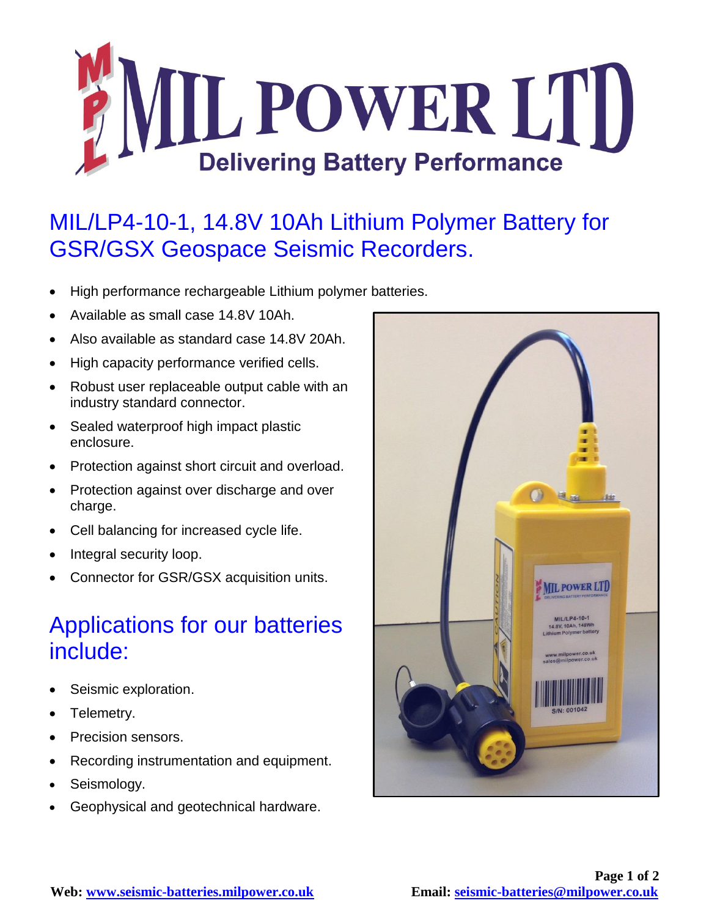

## MIL/LP4-10-1, 14.8V 10Ah Lithium Polymer Battery for GSR/GSX Geospace Seismic Recorders.

- High performance rechargeable Lithium polymer batteries.
- Available as small case 14.8V 10Ah.
- Also available as standard case 14.8V 20Ah.
- High capacity performance verified cells.
- Robust user replaceable output cable with an industry standard connector.
- Sealed waterproof high impact plastic enclosure.
- Protection against short circuit and overload.
- Protection against over discharge and over charge.
- Cell balancing for increased cycle life.
- Integral security loop.
- Connector for GSR/GSX acquisition units.

## Applications for our batteries include:

- Seismic exploration.
- Telemetry.
- Precision sensors.
- Recording instrumentation and equipment.
- Seismology.
- Geophysical and geotechnical hardware.